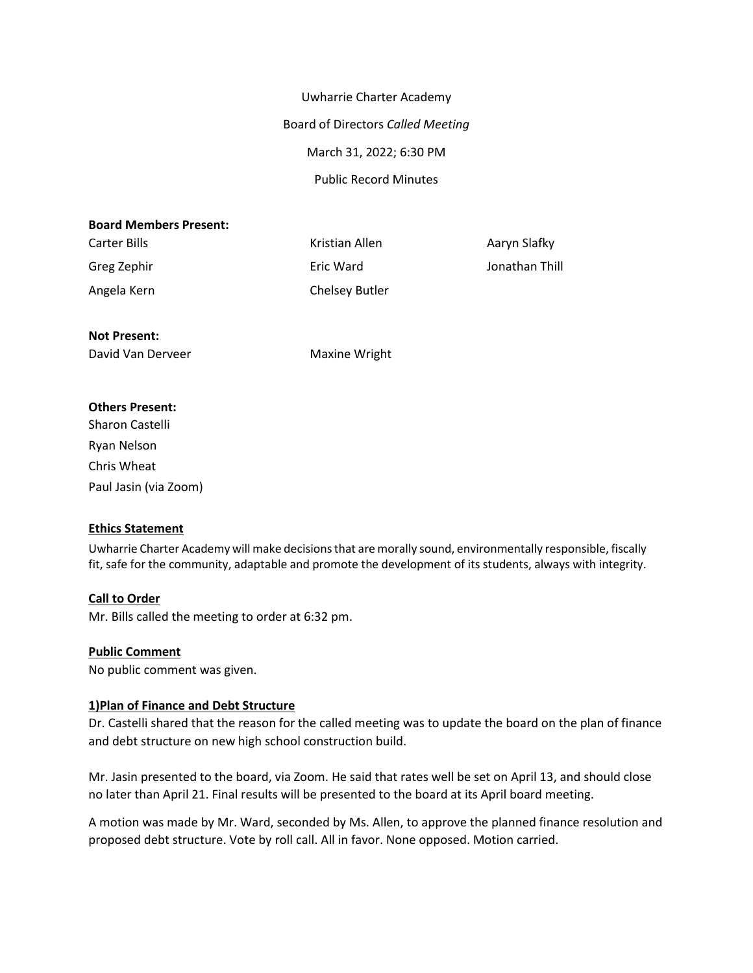Uwharrie Charter Academy Board of Directors *Called Meeting* March 31, 2022; 6:30 PM Public Record Minutes

#### **Board Members Present:**

Greg Zephir **Eric Ward** Eric Ward **Eric Ward** Jonathan Thill Angela Kern **Chelsey Butler** 

Carter Bills **Carter Bills** Kristian Allen Aaryn Slafky

## **Not Present:**

David Van Derveer Maxine Wright

#### **Others Present:**

Sharon Castelli Ryan Nelson Chris Wheat Paul Jasin (via Zoom)

## **Ethics Statement**

Uwharrie Charter Academy will make decisionsthat are morally sound, environmentally responsible, fiscally fit, safe for the community, adaptable and promote the development of its students, always with integrity.

## **Call to Order**

Mr. Bills called the meeting to order at 6:32 pm.

#### **Public Comment**

No public comment was given.

## **1)Plan of Finance and Debt Structure**

Dr. Castelli shared that the reason for the called meeting was to update the board on the plan of finance and debt structure on new high school construction build.

Mr. Jasin presented to the board, via Zoom. He said that rates well be set on April 13, and should close no later than April 21. Final results will be presented to the board at its April board meeting.

A motion was made by Mr. Ward, seconded by Ms. Allen, to approve the planned finance resolution and proposed debt structure. Vote by roll call. All in favor. None opposed. Motion carried.